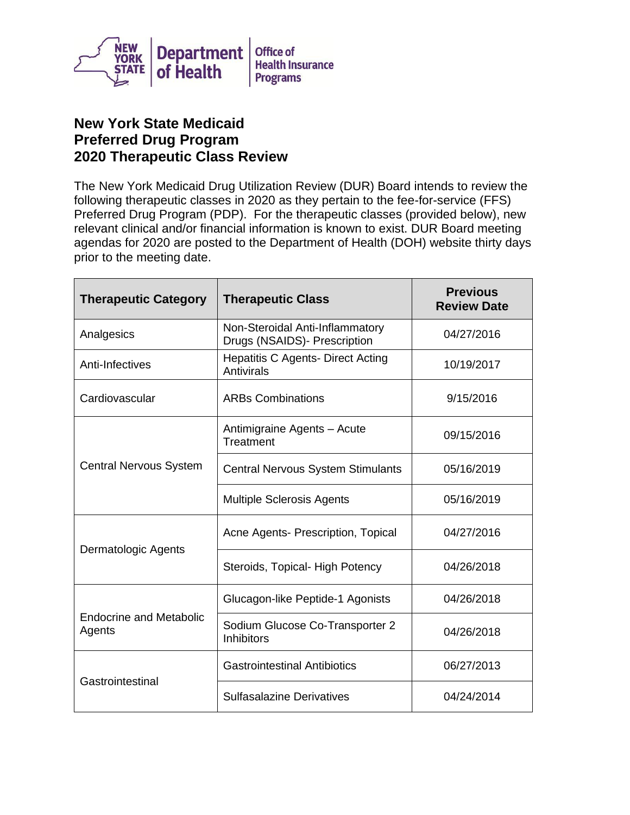

## **New York State Medicaid Preferred Drug Program 2020 Therapeutic Class Review**

The New York Medicaid Drug Utilization Review (DUR) Board intends to review the following therapeutic classes in 2020 as they pertain to the fee-for-service (FFS) Preferred Drug Program (PDP). For the therapeutic classes (provided below), new relevant clinical and/or financial information is known to exist. DUR Board meeting agendas for 2020 are posted to the Department of Health (DOH) website thirty days prior to the meeting date.

| <b>Therapeutic Category</b>              | <b>Therapeutic Class</b>                                        | <b>Previous</b><br><b>Review Date</b> |
|------------------------------------------|-----------------------------------------------------------------|---------------------------------------|
| Analgesics                               | Non-Steroidal Anti-Inflammatory<br>Drugs (NSAIDS)- Prescription | 04/27/2016                            |
| Anti-Infectives                          | <b>Hepatitis C Agents- Direct Acting</b><br>Antivirals          | 10/19/2017                            |
| Cardiovascular                           | <b>ARBs Combinations</b>                                        | 9/15/2016                             |
| <b>Central Nervous System</b>            | Antimigraine Agents - Acute<br>Treatment                        | 09/15/2016                            |
|                                          | <b>Central Nervous System Stimulants</b>                        | 05/16/2019                            |
|                                          | <b>Multiple Sclerosis Agents</b>                                | 05/16/2019                            |
| Dermatologic Agents                      | Acne Agents- Prescription, Topical                              | 04/27/2016                            |
|                                          | Steroids, Topical-High Potency                                  | 04/26/2018                            |
| <b>Endocrine and Metabolic</b><br>Agents | Glucagon-like Peptide-1 Agonists                                | 04/26/2018                            |
|                                          | Sodium Glucose Co-Transporter 2<br><b>Inhibitors</b>            | 04/26/2018                            |
| Gastrointestinal                         | <b>Gastrointestinal Antibiotics</b>                             | 06/27/2013                            |
|                                          | <b>Sulfasalazine Derivatives</b>                                | 04/24/2014                            |